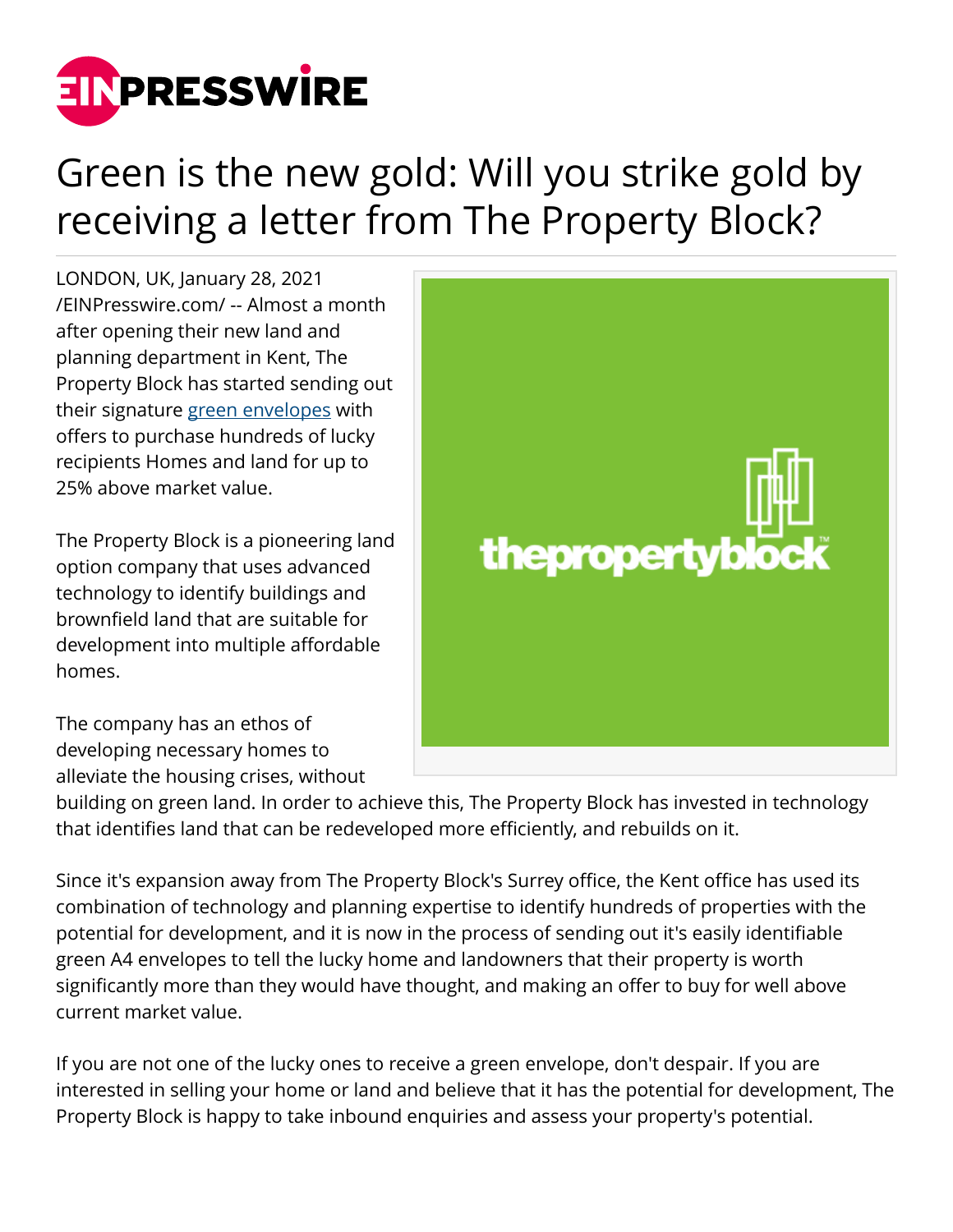

## Green is the new gold: Will you strike gold by receiving a letter from The Property Block?

LONDON, UK, January 28, 2021 [/EINPresswire.com/](http://www.einpresswire.com) -- Almost a month after opening their new land and planning department in Kent, The Property Block has started sending out their signature [green envelopes](https://thepropertyblock.co.uk/) with offers to purchase hundreds of lucky recipients Homes and land for up to 25% above market value.

The Property Block is a pioneering land option company that uses advanced technology to identify buildings and brownfield land that are suitable for development into multiple affordable homes.

The company has an ethos of developing necessary homes to alleviate the housing crises, without



building on green land. In order to achieve this, The Property Block has invested in technology that identifies land that can be redeveloped more efficiently, and rebuilds on it.

Since it's expansion away from The Property Block's Surrey office, the Kent office has used its combination of technology and planning expertise to identify hundreds of properties with the potential for development, and it is now in the process of sending out it's easily identifiable green A4 envelopes to tell the lucky home and landowners that their property is worth significantly more than they would have thought, and making an offer to buy for well above current market value.

If you are not one of the lucky ones to receive a green envelope, don't despair. If you are interested in selling your home or land and believe that it has the potential for development, The Property Block is happy to take inbound enquiries and assess your property's potential.